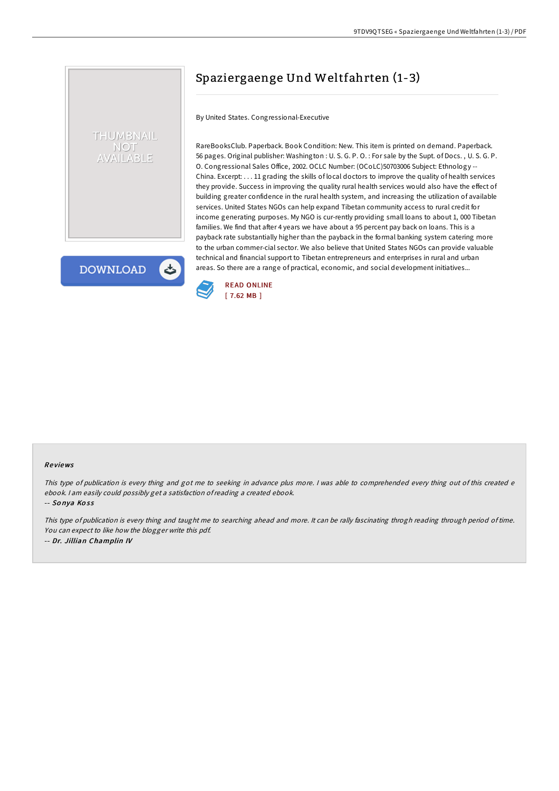# Spaziergaenge Und Weltfahrten (1-3)

By United States. Congressional-Executive

RareBooksClub. Paperback. Book Condition: New. This item is printed on demand. Paperback. 56 pages. Original publisher: Washington : U. S. G. P. O. : For sale by the Supt. of Docs. , U. S. G. P. O. Congressional Sales Office, 2002. OCLC Number: (OCoLC)50703006 Subject: Ethnology -- China. Excerpt: . . . 11 grading the skills of local doctors to improve the quality of health services they provide. Success in improving the quality rural health services would also have the effect of building greater confidence in the rural health system, and increasing the utilization of available services. United States NGOs can help expand Tibetan community access to rural credit for income generating purposes. My NGO is cur-rently providing small loans to about 1, 000 Tibetan families. We find that after 4 years we have about a 95 percent pay back on loans. This is a payback rate substantially higher than the payback in the formal banking system catering more to the urban commer-cial sector. We also believe that United States NGOs can provide valuable technical and financial support to Tibetan entrepreneurs and enterprises in rural and urban areas. So there are a range of practical, economic, and social development initiatives...



### Re views

This type of publication is every thing and got me to seeking in advance plus more. <sup>I</sup> was able to comprehended every thing out of this created <sup>e</sup> ebook. <sup>I</sup> am easily could possibly get <sup>a</sup> satisfaction ofreading <sup>a</sup> created ebook.

-- Sonya Koss

THUMBNAIL **NOT /AILABLE** 

**DOWNLOAD** 

 $\blacktriangleright$ 

This type of publication is every thing and taught me to searching ahead and more. It can be rally fascinating throgh reading through period of time. You can expect to like how the blogger write this pdf. -- Dr. Jillian Champlin IV